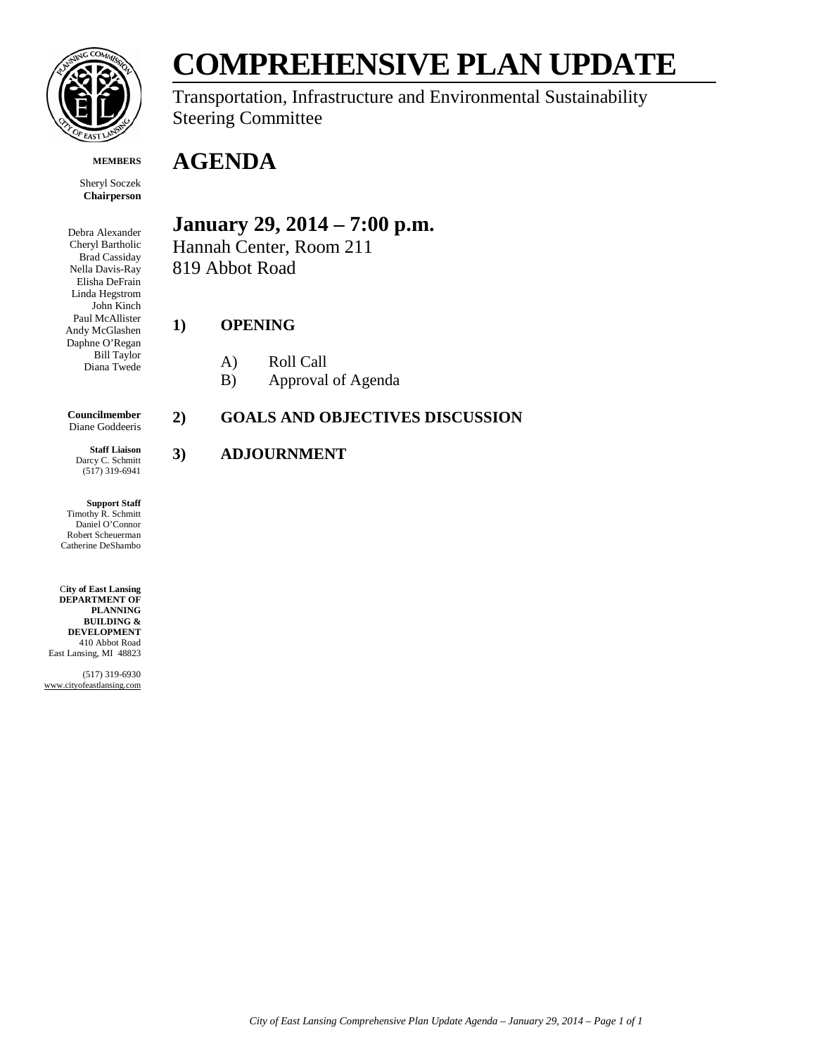

**MEMBERS**

Sheryl Soczek **Chairperson**

Debra Alexander Cheryl Bartholic Brad Cassiday Nella Davis-Ray Elisha DeFrain Linda Hegstrom John Kinch Paul McAllister Andy McGlashen Daphne O'Regan Bill Taylor Diana Twede

**Councilmember** Diane Goddeeris

**Staff Liaison** Darcy C. Schmitt (517) 319-6941

**Support Staff** Timothy R. Schmitt Daniel O'Connor Robert Scheuerman Catherine DeShambo

C**ity of East Lansing DEPARTMENT OF PLANNING BUILDING & DEVELOPMENT** 410 Abbot Road East Lansing, MI 48823

(517) 319-6930 www.cityofeastlansing.com

# **COMPREHENSIVE PLAN UPDATE**

Transportation, Infrastructure and Environmental Sustainability Steering Committee

## **AGENDA**

### **January 29, 2014 – 7:00 p.m.**

Hannah Center, Room 211 819 Abbot Road

#### **1) OPENING**

- A) Roll Call
- B) Approval of Agenda

#### **2) GOALS AND OBJECTIVES DISCUSSION**

#### **3) ADJOURNMENT**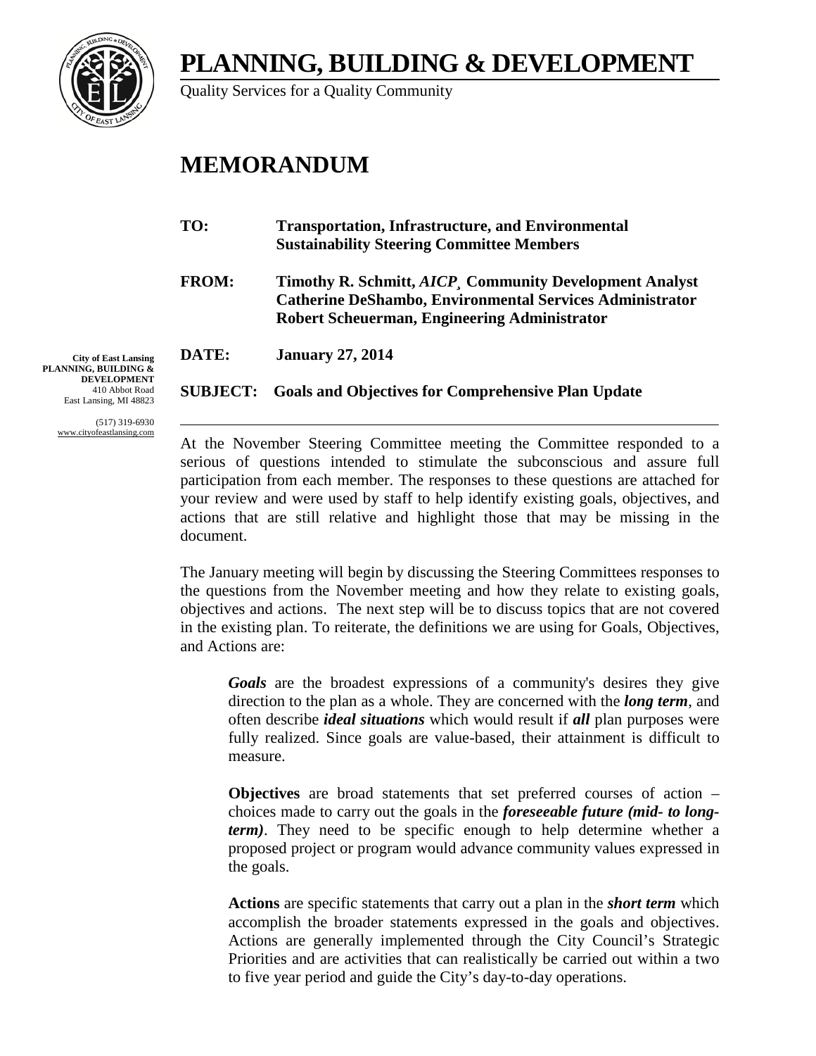## **PLANNING, BUILDING & DEVELOPMENT**



Quality Services for a Quality Community

## **MEMORANDUM**

| TO:          | <b>Transportation, Infrastructure, and Environmental</b><br><b>Sustainability Steering Committee Members</b>                                                                       |
|--------------|------------------------------------------------------------------------------------------------------------------------------------------------------------------------------------|
| <b>FROM:</b> | Timothy R. Schmitt, <i>AICP</i> , Community Development Analyst<br><b>Catherine DeShambo, Environmental Services Administrator</b><br>Robert Scheuerman, Engineering Administrator |
| DATE:        | <b>January 27, 2014</b>                                                                                                                                                            |
|              | <b>SUBJECT:</b> Goals and Objectives for Comprehensive Plan Update                                                                                                                 |

**City of East Lansing PLANNING, BUILDING & DEVELOPMENT** 410 Abbot Road East Lansing, MI 48823

> (517) 319-6930 www.cityofeastlansing.com

At the November Steering Committee meeting the Committee responded to a serious of questions intended to stimulate the subconscious and assure full participation from each member. The responses to these questions are attached for your review and were used by staff to help identify existing goals, objectives, and actions that are still relative and highlight those that may be missing in the document.

The January meeting will begin by discussing the Steering Committees responses to the questions from the November meeting and how they relate to existing goals, objectives and actions. The next step will be to discuss topics that are not covered in the existing plan. To reiterate, the definitions we are using for Goals, Objectives, and Actions are:

*Goals* are the broadest expressions of a community's desires they give direction to the plan as a whole. They are concerned with the *long term*, and often describe *ideal situations* which would result if *all* plan purposes were fully realized. Since goals are value-based, their attainment is difficult to measure.

**Objectives** are broad statements that set preferred courses of action – choices made to carry out the goals in the *foreseeable future (mid- to longterm)*. They need to be specific enough to help determine whether a proposed project or program would advance community values expressed in the goals.

**Actions** are specific statements that carry out a plan in the *short term* which accomplish the broader statements expressed in the goals and objectives. Actions are generally implemented through the City Council's Strategic Priorities and are activities that can realistically be carried out within a two to five year period and guide the City's day-to-day operations.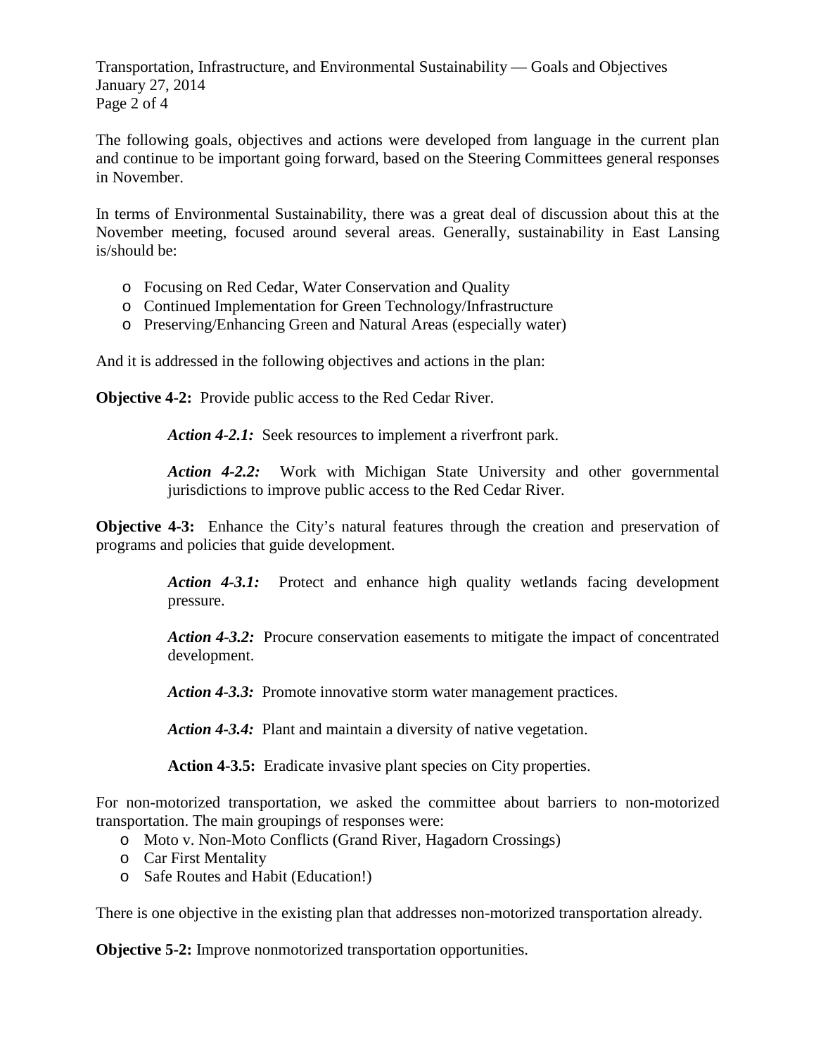Transportation, Infrastructure, and Environmental Sustainability — Goals and Objectives January 27, 2014 Page 2 of 4

The following goals, objectives and actions were developed from language in the current plan and continue to be important going forward, based on the Steering Committees general responses in November.

In terms of Environmental Sustainability, there was a great deal of discussion about this at the November meeting, focused around several areas. Generally, sustainability in East Lansing is/should be:

- o Focusing on Red Cedar, Water Conservation and Quality
- o Continued Implementation for Green Technology/Infrastructure
- o Preserving/Enhancing Green and Natural Areas (especially water)

And it is addressed in the following objectives and actions in the plan:

**Objective 4-2:** Provide public access to the Red Cedar River.

Action 4-2.1: Seek resources to implement a riverfront park.

*Action 4-2.2:* Work with Michigan State University and other governmental jurisdictions to improve public access to the Red Cedar River.

**Objective 4-3:** Enhance the City's natural features through the creation and preservation of programs and policies that guide development.

> *Action 4-3.1:* Protect and enhance high quality wetlands facing development pressure.

> *Action 4-3.2:* Procure conservation easements to mitigate the impact of concentrated development.

*Action 4-3.3:* Promote innovative storm water management practices.

*Action 4-3.4:* Plant and maintain a diversity of native vegetation.

**Action 4-3.5:** Eradicate invasive plant species on City properties.

For non-motorized transportation, we asked the committee about barriers to non-motorized transportation. The main groupings of responses were:

- o Moto v. Non-Moto Conflicts (Grand River, Hagadorn Crossings)
- o Car First Mentality
- o Safe Routes and Habit (Education!)

There is one objective in the existing plan that addresses non-motorized transportation already.

**Objective 5-2:** Improve nonmotorized transportation opportunities.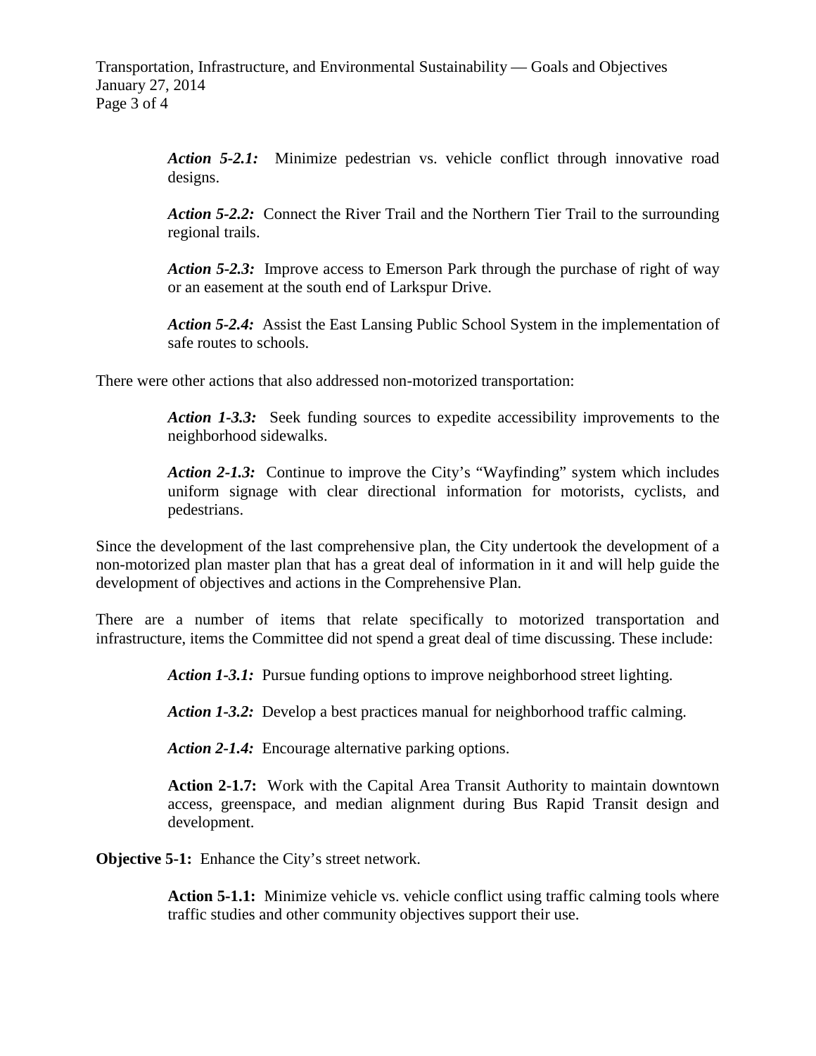*Action 5-2.1:* Minimize pedestrian vs. vehicle conflict through innovative road designs.

*Action 5-2.2:* Connect the River Trail and the Northern Tier Trail to the surrounding regional trails.

Action 5-2.3: Improve access to Emerson Park through the purchase of right of way or an easement at the south end of Larkspur Drive.

*Action 5-2.4:* Assist the East Lansing Public School System in the implementation of safe routes to schools.

There were other actions that also addressed non-motorized transportation:

*Action 1-3.3:* Seek funding sources to expedite accessibility improvements to the neighborhood sidewalks.

*Action 2-1.3:* Continue to improve the City's "Wayfinding" system which includes uniform signage with clear directional information for motorists, cyclists, and pedestrians.

Since the development of the last comprehensive plan, the City undertook the development of a non-motorized plan master plan that has a great deal of information in it and will help guide the development of objectives and actions in the Comprehensive Plan.

There are a number of items that relate specifically to motorized transportation and infrastructure, items the Committee did not spend a great deal of time discussing. These include:

*Action 1-3.1:* Pursue funding options to improve neighborhood street lighting.

*Action 1-3.2:* Develop a best practices manual for neighborhood traffic calming.

Action 2-1.4: Encourage alternative parking options.

**Action 2-1.7:** Work with the Capital Area Transit Authority to maintain downtown access, greenspace, and median alignment during Bus Rapid Transit design and development.

**Objective 5-1:** Enhance the City's street network.

**Action 5-1.1:** Minimize vehicle vs. vehicle conflict using traffic calming tools where traffic studies and other community objectives support their use.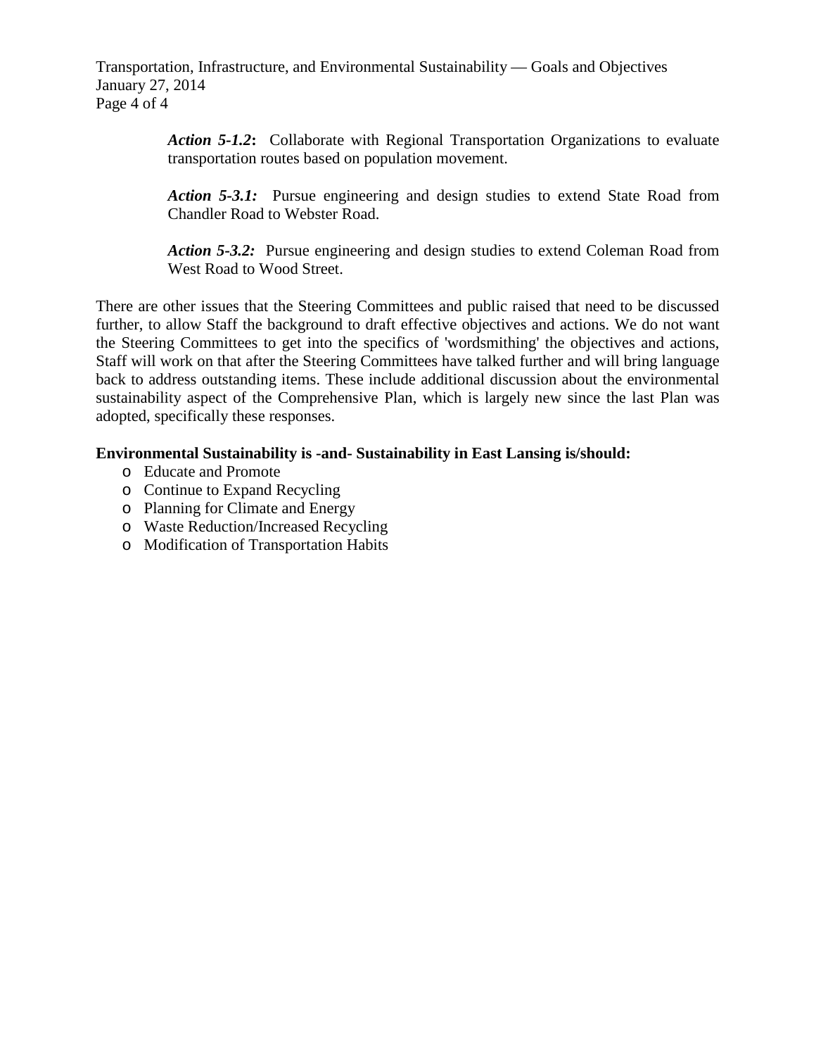Transportation, Infrastructure, and Environmental Sustainability — Goals and Objectives January 27, 2014 Page 4 of 4

> *Action 5-1.2***:** Collaborate with Regional Transportation Organizations to evaluate transportation routes based on population movement.

> *Action 5-3.1:* Pursue engineering and design studies to extend State Road from Chandler Road to Webster Road.

> *Action 5-3.2:* Pursue engineering and design studies to extend Coleman Road from West Road to Wood Street.

There are other issues that the Steering Committees and public raised that need to be discussed further, to allow Staff the background to draft effective objectives and actions. We do not want the Steering Committees to get into the specifics of 'wordsmithing' the objectives and actions, Staff will work on that after the Steering Committees have talked further and will bring language back to address outstanding items. These include additional discussion about the environmental sustainability aspect of the Comprehensive Plan, which is largely new since the last Plan was adopted, specifically these responses.

#### **Environmental Sustainability is -and- Sustainability in East Lansing is/should:**

- o Educate and Promote
- o Continue to Expand Recycling
- o Planning for Climate and Energy
- o Waste Reduction/Increased Recycling
- o Modification of Transportation Habits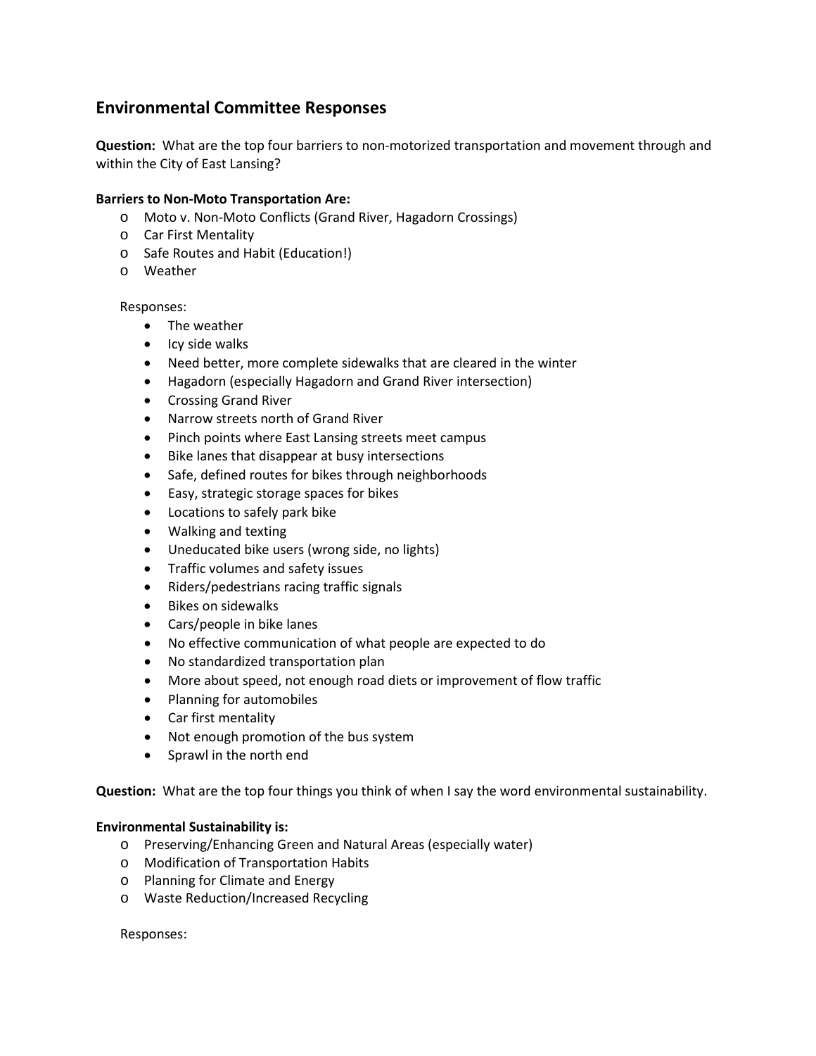#### **Environmental Committee Responses**

**Question:** What are the top four barriers to non-motorized transportation and movement through and within the City of East Lansing?

#### **Barriers to Non-Moto Transportation Are:**

- o Moto v. Non-Moto Conflicts (Grand River, Hagadorn Crossings)
- o Car First Mentality
- o Safe Routes and Habit (Education!)
- o Weather

#### Responses:

- The weather
- Icy side walks
- Need better, more complete sidewalks that are cleared in the winter
- Hagadorn (especially Hagadorn and Grand River intersection)
- Crossing Grand River
- Narrow streets north of Grand River
- Pinch points where East Lansing streets meet campus
- Bike lanes that disappear at busy intersections
- Safe, defined routes for bikes through neighborhoods
- Easy, strategic storage spaces for bikes
- Locations to safely park bike
- Walking and texting
- Uneducated bike users (wrong side, no lights)
- Traffic volumes and safety issues
- Riders/pedestrians racing traffic signals
- Bikes on sidewalks
- Cars/people in bike lanes
- No effective communication of what people are expected to do
- No standardized transportation plan
- More about speed, not enough road diets or improvement of flow traffic
- Planning for automobiles
- Car first mentality
- Not enough promotion of the bus system
- Sprawl in the north end

**Question:** What are the top four things you think of when I say the word environmental sustainability.

#### **Environmental Sustainability is:**

- o Preserving/Enhancing Green and Natural Areas (especially water)
- o Modification of Transportation Habits
- o Planning for Climate and Energy
- o Waste Reduction/Increased Recycling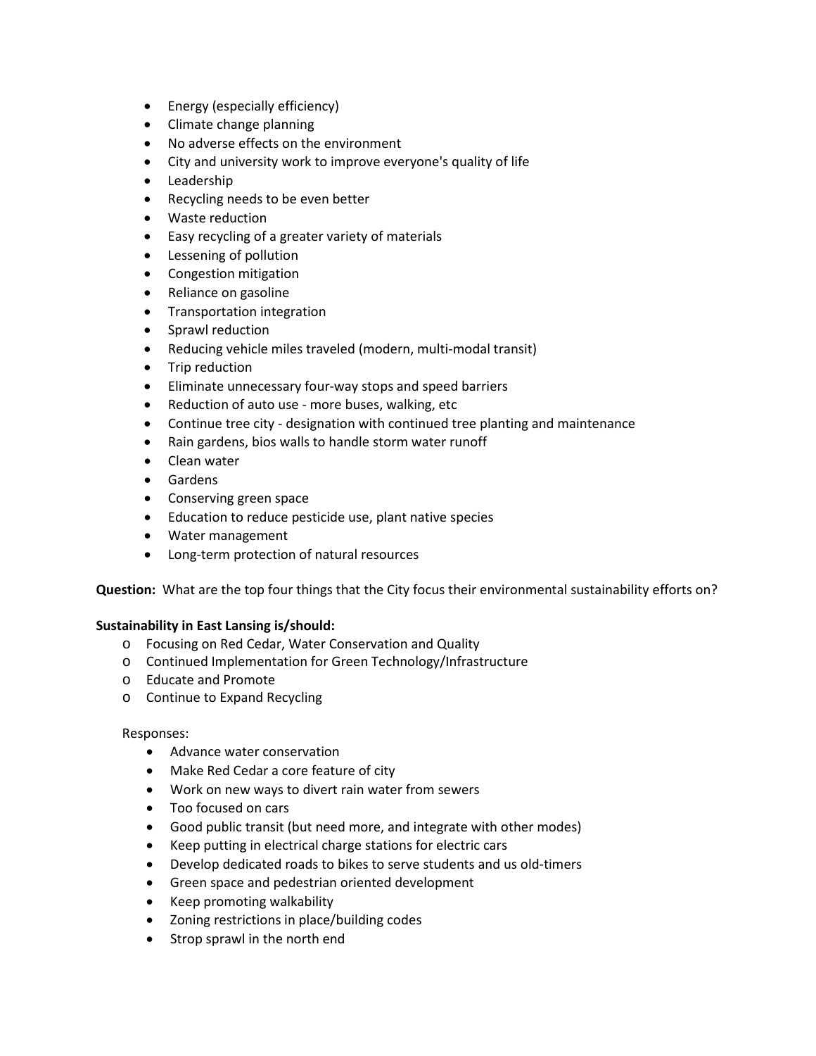- Energy (especially efficiency)
- Climate change planning
- No adverse effects on the environment
- City and university work to improve everyone's quality of life
- Leadership
- Recycling needs to be even better
- Waste reduction
- Easy recycling of a greater variety of materials
- Lessening of pollution
- Congestion mitigation
- Reliance on gasoline
- Transportation integration
- Sprawl reduction
- Reducing vehicle miles traveled (modern, multi-modal transit)
- Trip reduction
- Eliminate unnecessary four-way stops and speed barriers
- Reduction of auto use more buses, walking, etc
- Continue tree city designation with continued tree planting and maintenance
- Rain gardens, bios walls to handle storm water runoff
- Clean water
- Gardens
- Conserving green space
- Education to reduce pesticide use, plant native species
- Water management
- Long-term protection of natural resources

**Question:** What are the top four things that the City focus their environmental sustainability efforts on?

#### **Sustainability in East Lansing is/should:**

- o Focusing on Red Cedar, Water Conservation and Quality
- o Continued Implementation for Green Technology/Infrastructure
- o Educate and Promote
- o Continue to Expand Recycling

- Advance water conservation
- Make Red Cedar a core feature of city
- Work on new ways to divert rain water from sewers
- Too focused on cars
- Good public transit (but need more, and integrate with other modes)
- Keep putting in electrical charge stations for electric cars
- Develop dedicated roads to bikes to serve students and us old-timers
- Green space and pedestrian oriented development
- Keep promoting walkability
- Zoning restrictions in place/building codes
- Strop sprawl in the north end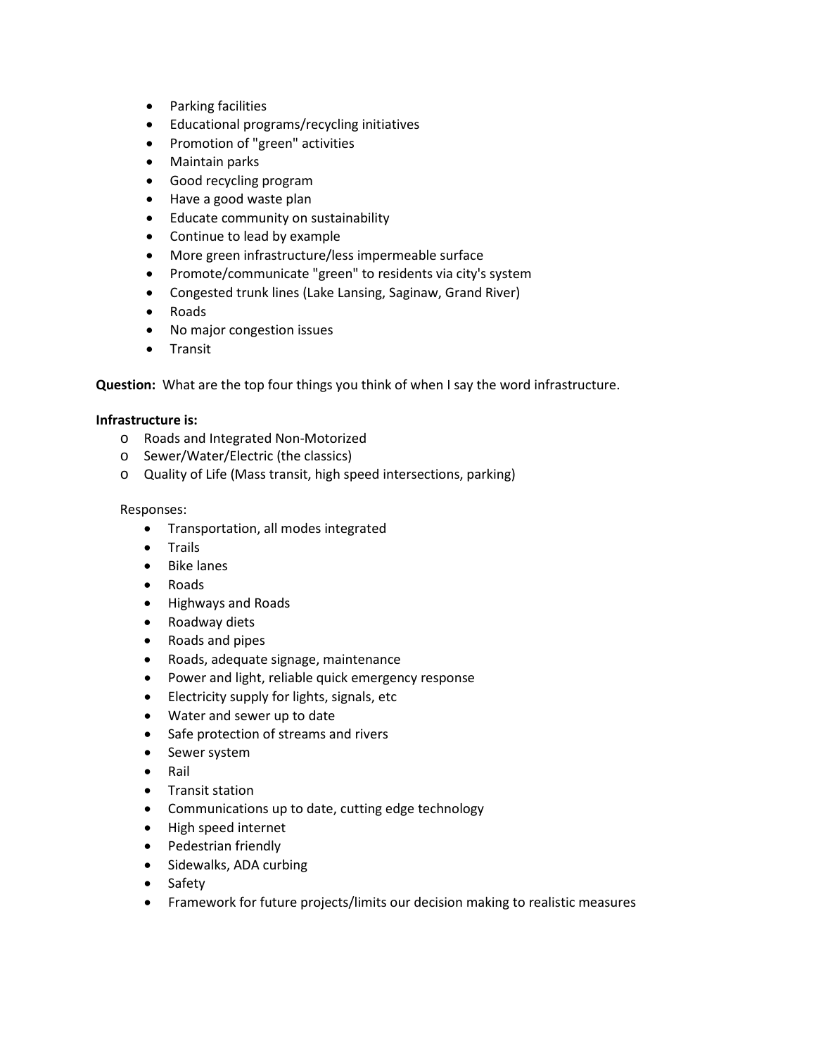- Parking facilities
- Educational programs/recycling initiatives
- Promotion of "green" activities
- Maintain parks
- Good recycling program
- Have a good waste plan
- Educate community on sustainability
- Continue to lead by example
- More green infrastructure/less impermeable surface
- Promote/communicate "green" to residents via city's system
- Congested trunk lines (Lake Lansing, Saginaw, Grand River)
- Roads
- No major congestion issues
- Transit

**Question:** What are the top four things you think of when I say the word infrastructure.

#### **Infrastructure is:**

- o Roads and Integrated Non-Motorized
- o Sewer/Water/Electric (the classics)
- o Quality of Life (Mass transit, high speed intersections, parking)

- Transportation, all modes integrated
- Trails
- Bike lanes
- Roads
- Highways and Roads
- Roadway diets
- Roads and pipes
- Roads, adequate signage, maintenance
- Power and light, reliable quick emergency response
- Electricity supply for lights, signals, etc
- Water and sewer up to date
- Safe protection of streams and rivers
- Sewer system
- Rail
- Transit station
- Communications up to date, cutting edge technology
- High speed internet
- Pedestrian friendly
- Sidewalks, ADA curbing
- Safety
- Framework for future projects/limits our decision making to realistic measures